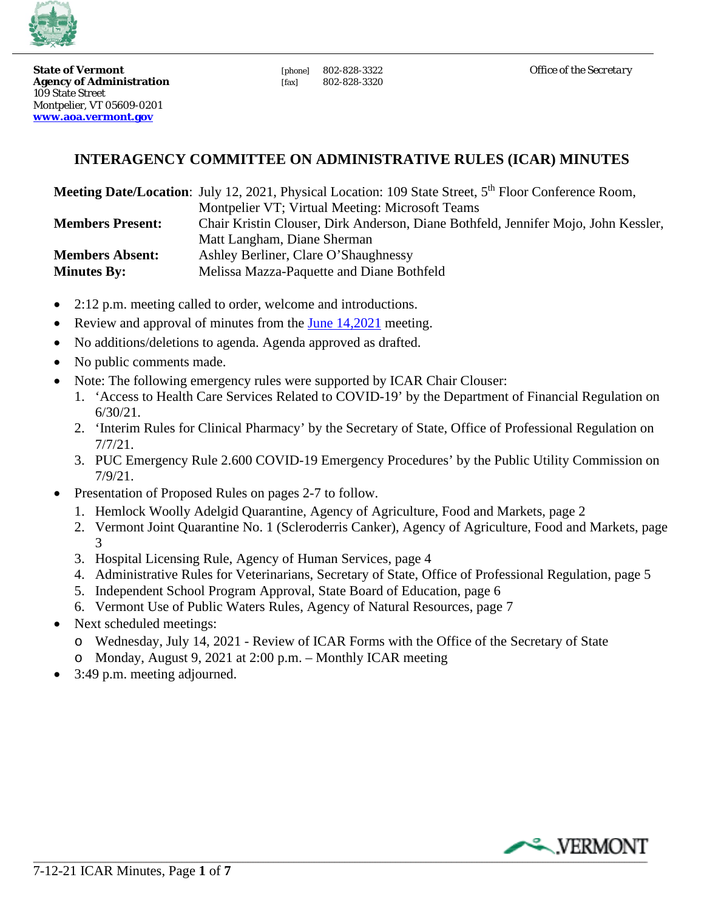

**State of Vermont**<br> **Agency of Administration** (ax) 802-828-3322<br> **Agency of Administration** (fax) 802-828-3320 **Agency of Administration** [fax] 109 State Street Montpelier, VT 05609-0201 **[www.aoa.vermont.gov](http://www.aoa.vermont.gov/)** 

# **INTERAGENCY COMMITTEE ON ADMINISTRATIVE RULES (ICAR) MINUTES**

|                         | <b>Meeting Date/Location:</b> July 12, 2021, Physical Location: 109 State Street, 5 <sup>th</sup> Floor Conference Room, |
|-------------------------|--------------------------------------------------------------------------------------------------------------------------|
|                         | Montpelier VT; Virtual Meeting: Microsoft Teams                                                                          |
| <b>Members Present:</b> | Chair Kristin Clouser, Dirk Anderson, Diane Bothfeld, Jennifer Mojo, John Kessler,                                       |
|                         | Matt Langham, Diane Sherman                                                                                              |
| <b>Members Absent:</b>  | Ashley Berliner, Clare O'Shaughnessy                                                                                     |
| <b>Minutes By:</b>      | Melissa Mazza-Paquette and Diane Bothfeld                                                                                |

- 2:12 p.m. meeting called to order, welcome and introductions.
- •Review and approval of minutes from the **June 14,2021** meeting.
- No additions/deletions to agenda. Agenda approved as drafted.
- No public comments made.
- Note: The following emergency rules were supported by ICAR Chair Clouser:
	- 1. 'Access to Health Care Services Related to COVID-19' by the Department of Financial Regulation on 6/30/21.
	- 2. 'Interim Rules for Clinical Pharmacy' by the Secretary of State, Office of Professional Regulation on 7/7/21.
	- 3. PUC Emergency Rule 2.600 COVID-19 Emergency Procedures' by the Public Utility Commission on 7/9/21.
- Presentation of Proposed Rules on pages 2-7 to follow.
	- 1. Hemlock Woolly Adelgid Quarantine, Agency of Agriculture, Food and Markets, page 2
	- 2. Vermont Joint Quarantine No. 1 (Scleroderris Canker), Agency of Agriculture, Food and Markets, page 3
	- 3. Hospital Licensing Rule, Agency of Human Services, page 4
	- 4. Administrative Rules for Veterinarians, Secretary of State, Office of Professional Regulation, page 5
	- 5. Independent School Program Approval, State Board of Education, page 6
	- 6. Vermont Use of Public Waters Rules, Agency of Natural Resources, page 7
- Next scheduled meetings:
	- o Wednesday, July 14, 2021 Review of ICAR Forms with the Office of the Secretary of State
	- Monday, August 9, 2021 at 2:00 p.m. Monthly ICAR meeting
- 3:49 p.m. meeting adjourned.

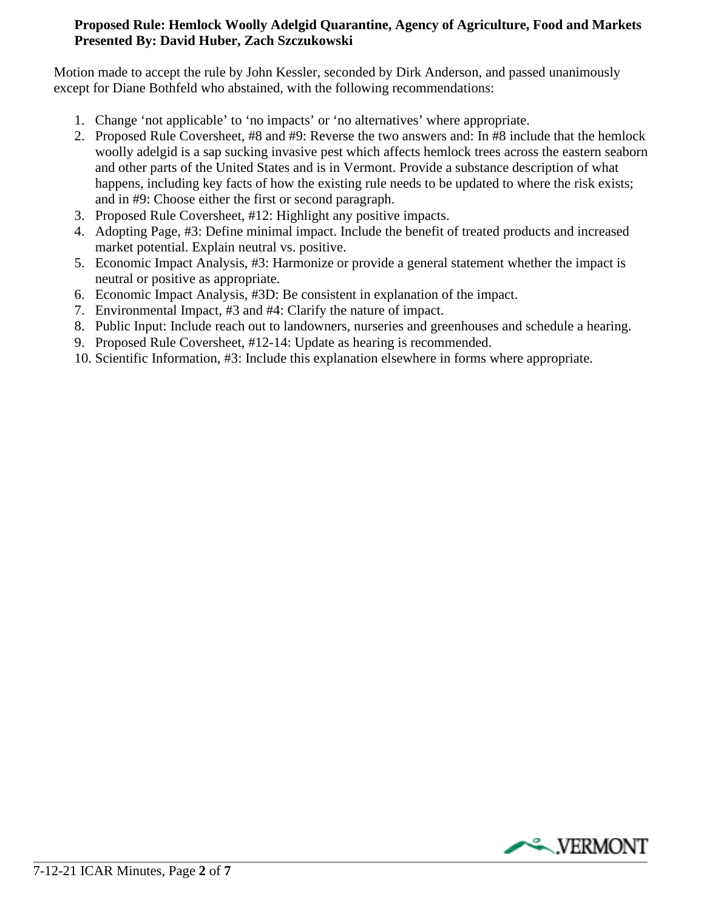# **Proposed Rule: Hemlock Woolly Adelgid Quarantine, Agency of Agriculture, Food and Markets Presented By: David Huber, Zach Szczukowski**

Motion made to accept the rule by John Kessler, seconded by Dirk Anderson, and passed unanimously except for Diane Bothfeld who abstained, with the following recommendations:

- 1. Change 'not applicable' to 'no impacts' or 'no alternatives' where appropriate.
- 2. Proposed Rule Coversheet, #8 and #9: Reverse the two answers and: In #8 include that the hemlock woolly adelgid is a sap sucking invasive pest which affects hemlock trees across the eastern seaborn and other parts of the United States and is in Vermont. Provide a substance description of what happens, including key facts of how the existing rule needs to be updated to where the risk exists; and in #9: Choose either the first or second paragraph.
- 3. Proposed Rule Coversheet, #12: Highlight any positive impacts.
- 4. Adopting Page, #3: Define minimal impact. Include the benefit of treated products and increased market potential. Explain neutral vs. positive.
- 5. Economic Impact Analysis, #3: Harmonize or provide a general statement whether the impact is neutral or positive as appropriate.
- 6. Economic Impact Analysis, #3D: Be consistent in explanation of the impact.
- 7. Environmental Impact, #3 and #4: Clarify the nature of impact.
- 8. Public Input: Include reach out to landowners, nurseries and greenhouses and schedule a hearing.
- 9. Proposed Rule Coversheet, #12-14: Update as hearing is recommended.
- 10. Scientific Information, #3: Include this explanation elsewhere in forms where appropriate.

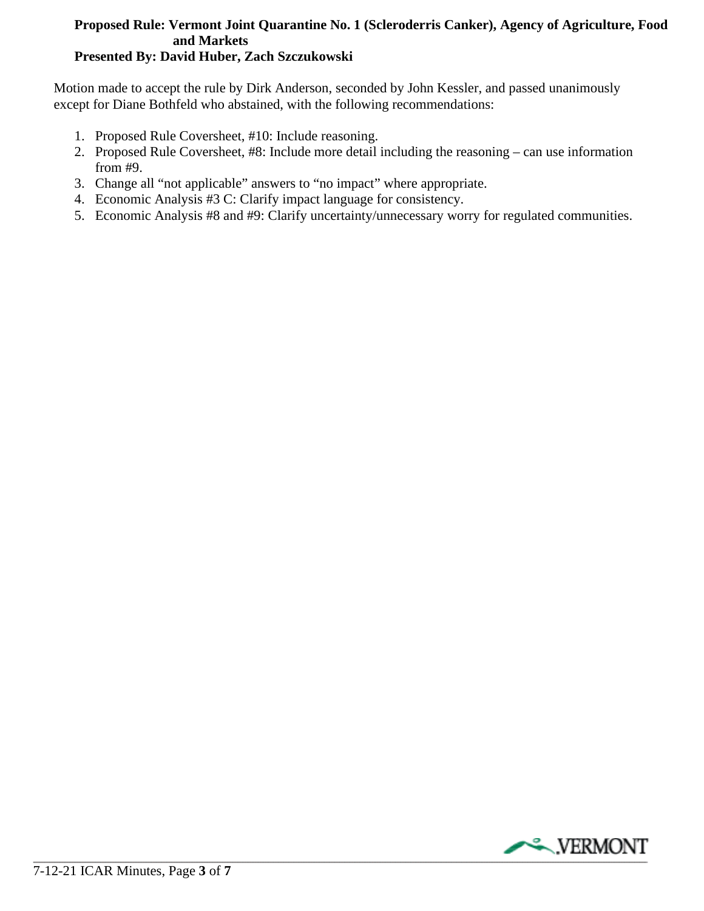# **Proposed Rule: Vermont Joint Quarantine No. 1 (Scleroderris Canker), Agency of Agriculture, Food and Markets**

# **Presented By: David Huber, Zach Szczukowski**

Motion made to accept the rule by Dirk Anderson, seconded by John Kessler, and passed unanimously except for Diane Bothfeld who abstained, with the following recommendations:

- 1. Proposed Rule Coversheet, #10: Include reasoning.
- 2. Proposed Rule Coversheet, #8: Include more detail including the reasoning can use information from #9.
- 3. Change all "not applicable" answers to "no impact" where appropriate.
- 4. Economic Analysis #3 C: Clarify impact language for consistency.
- 5. Economic Analysis #8 and #9: Clarify uncertainty/unnecessary worry for regulated communities.

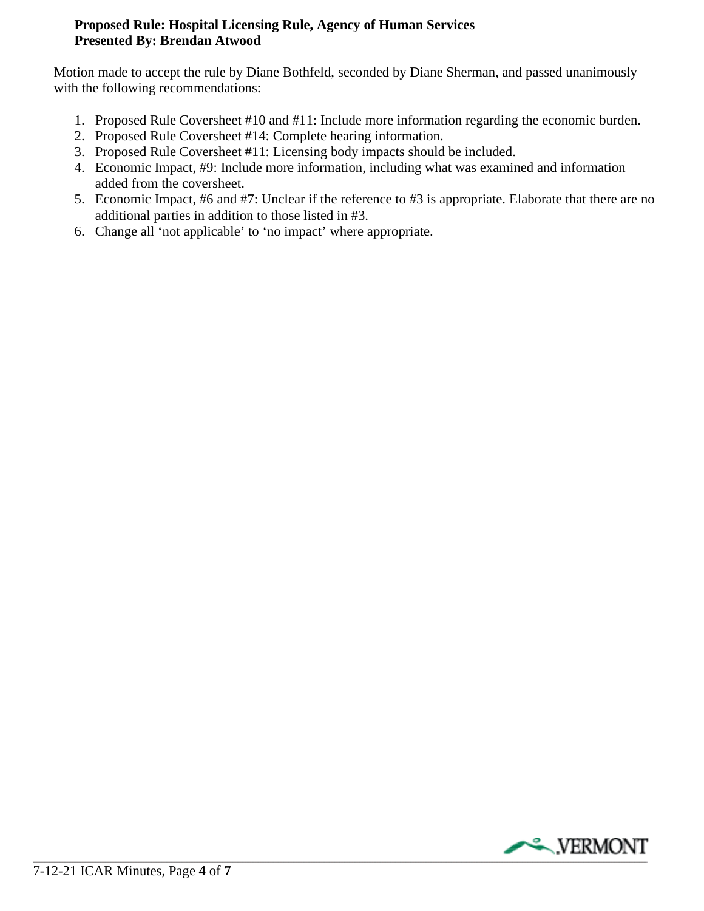# **Proposed Rule: Hospital Licensing Rule, Agency of Human Services Presented By: Brendan Atwood**

Motion made to accept the rule by Diane Bothfeld, seconded by Diane Sherman, and passed unanimously with the following recommendations:

- 1. Proposed Rule Coversheet #10 and #11: Include more information regarding the economic burden.
- 2. Proposed Rule Coversheet #14: Complete hearing information.
- 3. Proposed Rule Coversheet #11: Licensing body impacts should be included.
- 4. Economic Impact, #9: Include more information, including what was examined and information added from the coversheet.
- 5. Economic Impact, #6 and #7: Unclear if the reference to #3 is appropriate. Elaborate that there are no additional parties in addition to those listed in #3.
- 6. Change all 'not applicable' to 'no impact' where appropriate.

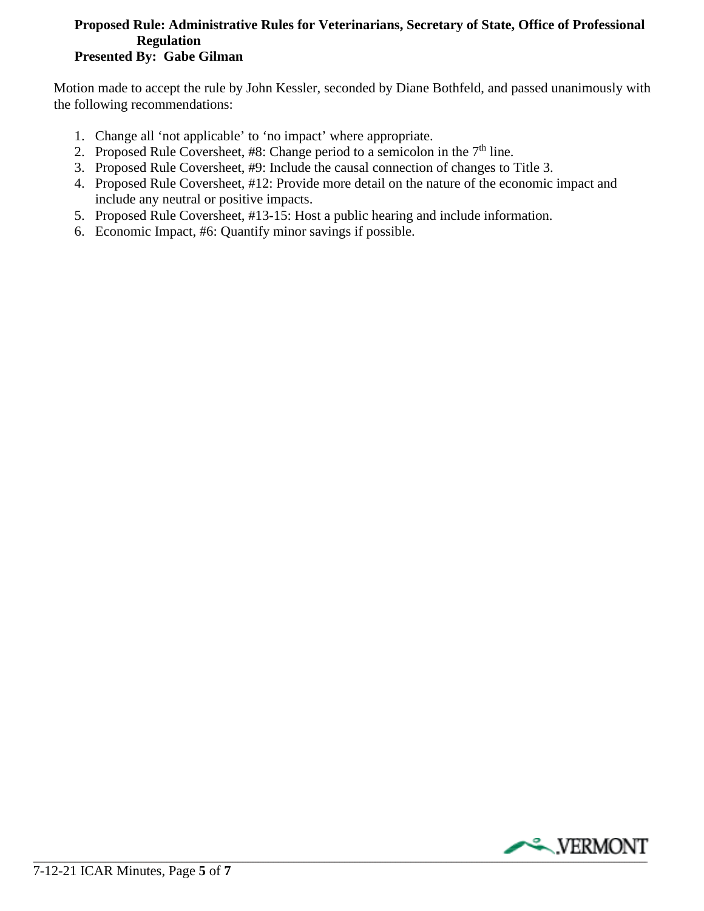#### **Proposed Rule: Administrative Rules for Veterinarians, Secretary of State, Office of Professional Regulation Presented By: Gabe Gilman**

Motion made to accept the rule by John Kessler, seconded by Diane Bothfeld, and passed unanimously with the following recommendations:

- 1. Change all 'not applicable' to 'no impact' where appropriate.
- 2. Proposed Rule Coversheet, #8: Change period to a semicolon in the  $7<sup>th</sup>$  line.
- 3. Proposed Rule Coversheet, #9: Include the causal connection of changes to Title 3.
- 4. Proposed Rule Coversheet, #12: Provide more detail on the nature of the economic impact and include any neutral or positive impacts.
- 5. Proposed Rule Coversheet, #13-15: Host a public hearing and include information.
- 6. Economic Impact, #6: Quantify minor savings if possible.

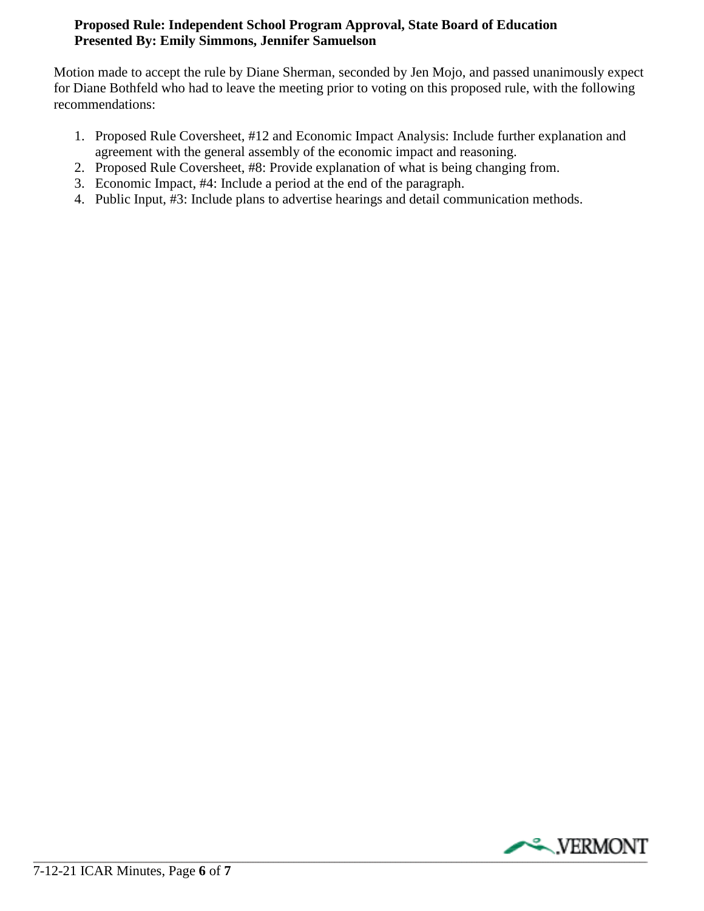# **Proposed Rule: Independent School Program Approval, State Board of Education Presented By: Emily Simmons, Jennifer Samuelson**

Motion made to accept the rule by Diane Sherman, seconded by Jen Mojo, and passed unanimously expect for Diane Bothfeld who had to leave the meeting prior to voting on this proposed rule, with the following recommendations:

- 1. Proposed Rule Coversheet, #12 and Economic Impact Analysis: Include further explanation and agreement with the general assembly of the economic impact and reasoning.
- 2. Proposed Rule Coversheet, #8: Provide explanation of what is being changing from.
- 3. Economic Impact, #4: Include a period at the end of the paragraph.
- 4. Public Input, #3: Include plans to advertise hearings and detail communication methods.